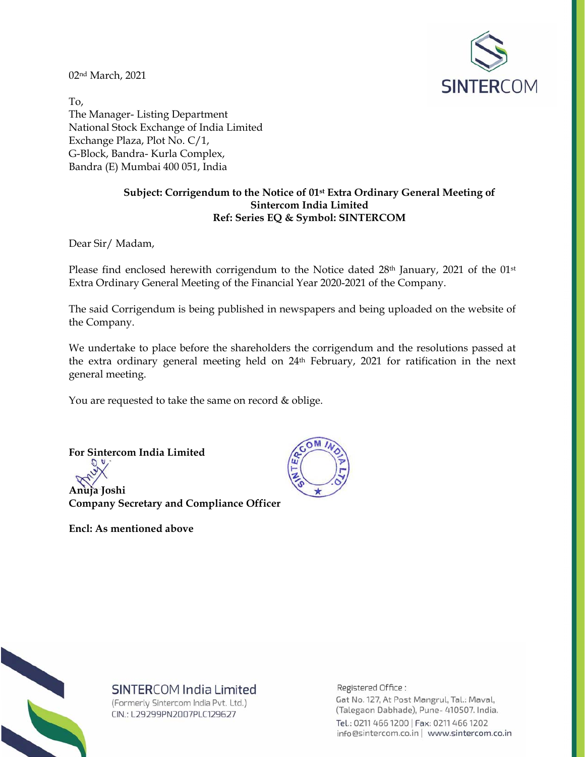02nd March, 2021



To, The Manager- Listing Department National Stock Exchange of India Limited Exchange Plaza, Plot No. C/1, G-Block, Bandra- Kurla Complex, Bandra (E) Mumbai 400 051, India

# **Subject: Corrigendum to the Notice of 01st Extra Ordinary General Meeting of Sintercom India Limited Ref: Series EQ & Symbol: SINTERCOM**

Dear Sir/ Madam,

Please find enclosed herewith corrigendum to the Notice dated  $28<sup>th</sup>$  January, 2021 of the  $01<sup>st</sup>$ Extra Ordinary General Meeting of the Financial Year 2020-2021 of the Company.

The said Corrigendum is being published in newspapers and being uploaded on the website of the Company.

We undertake to place before the shareholders the corrigendum and the resolutions passed at the extra ordinary general meeting held on 24th February, 2021 for ratification in the next general meeting.

You are requested to take the same on record & oblige.

**For Sintercom India Limited** 

**Anuja Joshi Company Secretary and Compliance Officer** 

**Encl: As mentioned above** 





# SINTERCOM India Limited

(Formerly Sintercom India Pvt. Ltd.) CIN.: L29299PN2007PLC129627

Registered Office:

Gat No. 127, At Post Mangrul, Tal.: Maval, (Talegaon Dabhade), Pune- 410507. India. Tel.: 0211 466 1200 | Fax: 0211 466 1202 info@sintercom.co.in | www.sintercom.co.in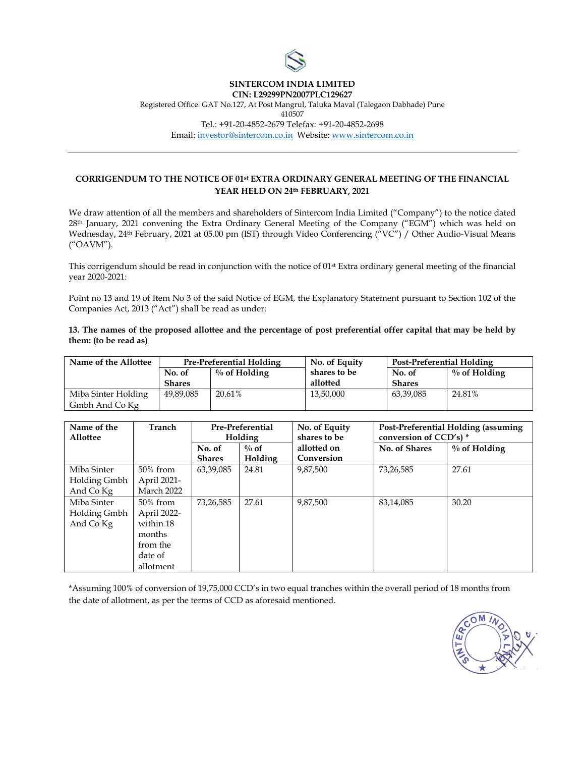

#### **SINTERCOM INDIA LIMITED CIN: L29299PN2007PLC129627**

Registered Office: GAT No.127, At Post Mangrul, Taluka Maval (Talegaon Dabhade) Pune 410507 Tel.: +91-20-4852-2679 Telefax: +91-20-4852-2698 Email: investor@sintercom.co.in Website: www.sintercom.co.in

# **CORRIGENDUM TO THE NOTICE OF 01st EXTRA ORDINARY GENERAL MEETING OF THE FINANCIAL YEAR HELD ON 24th FEBRUARY, 2021**

We draw attention of all the members and shareholders of Sintercom India Limited ("Company") to the notice dated 28th January, 2021 convening the Extra Ordinary General Meeting of the Company ("EGM") which was held on Wednesday, 24th February, 2021 at 05.00 pm (IST) through Video Conferencing ("VC") / Other Audio-Visual Means ("OAVM").

This corrigendum should be read in conjunction with the notice of 01<sup>st</sup> Extra ordinary general meeting of the financial year 2020-2021:

Point no 13 and 19 of Item No 3 of the said Notice of EGM, the Explanatory Statement pursuant to Section 102 of the Companies Act, 2013 ("Act") shall be read as under:

**13. The names of the proposed allottee and the percentage of post preferential offer capital that may be held by them: (to be read as)** 

| Name of the Allottee | <b>Pre-Preferential Holding</b> |                 | No. of Equity | Post-Preferential Holding |                 |
|----------------------|---------------------------------|-----------------|---------------|---------------------------|-----------------|
|                      | No. of                          | $\%$ of Holding | shares to be  | No. of                    | $\%$ of Holding |
|                      | <b>Shares</b>                   |                 | allotted      | Shares                    |                 |
| Miba Sinter Holding  | 49,89,085                       | 20.61%          | 13,50,000     | 63,39,085                 | 24.81%          |
| Gmbh And Co Kg       |                                 |                 |               |                           |                 |

| Name of the<br>Allottee                  | Tranch                                                                             | <b>Pre-Preferential</b><br><b>Holding</b> |                    | No. of Equity<br>shares to be | Post-Preferential Holding (assuming<br>conversion of CCD's) * |                 |
|------------------------------------------|------------------------------------------------------------------------------------|-------------------------------------------|--------------------|-------------------------------|---------------------------------------------------------------|-----------------|
|                                          |                                                                                    | No. of<br><b>Shares</b>                   | $\%$ of<br>Holding | allotted on<br>Conversion     | No. of Shares                                                 | $\%$ of Holding |
| Miba Sinter<br>Holding Gmbh<br>And Co Kg | $50\%$ from<br>April 2021-<br>March 2022                                           | 63,39,085                                 | 24.81              | 9.87.500                      | 73,26,585                                                     | 27.61           |
| Miba Sinter<br>Holding Gmbh<br>And Co Kg | 50% from<br>April 2022-<br>within 18<br>months<br>from the<br>date of<br>allotment | 73,26,585                                 | 27.61              | 9.87.500                      | 83,14,085                                                     | 30.20           |

\*Assuming 100% of conversion of 19,75,000 CCD's in two equal tranches within the overall period of 18 months from the date of allotment, as per the terms of CCD as aforesaid mentioned.